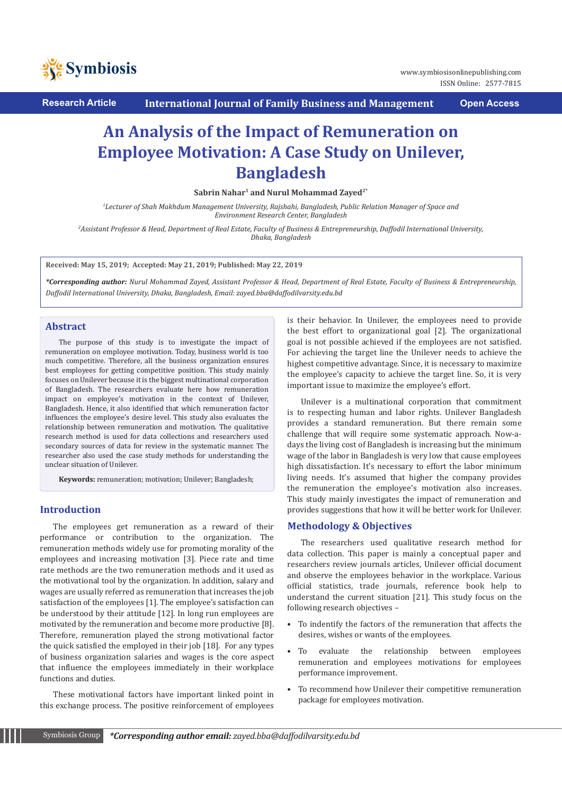

**Research Article International Journal of Family Business and Management Open Access**

ISSN Online: 2577-7815

# **An Analysis of the Impact of Remuneration on Employee Motivation: A Case Study on Unilever, Bangladesh**

**Sabrin Nahar1 and Nurul Mohammad Zayed2\***

*1 Lecturer of Shah Makhdum Management University, Rajshahi, Bangladesh, Public Relation Manager of Space and Environment Research Center, Bangladesh*

*2 Assistant Professor & Head, Department of Real Estate, Faculty of Business & Entrepreneurship, Daffodil International University, Dhaka, Bangladesh*

**Received: May 15, 2019; Accepted: May 21, 2019; Published: May 22, 2019**

*\*Corresponding author: Nurul Mohammad Zayed, Assistant Professor & Head, Department of Real Estate, Faculty of Business & Entrepreneurship, Daffodil International University, Dhaka, Bangladesh, Email: zayed.bba@daffodilvarsity.edu.bd*

## **Abstract**

The purpose of this study is to investigate the impact of remuneration on employee motivation. Today, business world is too much competitive. Therefore, all the business organization ensures best employees for getting competitive position. This study mainly focuses on Unilever because it is the biggest multinational corporation of Bangladesh. The researchers evaluate here how remuneration impact on employee's motivation in the context of Unilever, Bangladesh. Hence, it also identified that which remuneration factor influences the employee's desire level. This study also evaluates the relationship between remuneration and motivation. The qualitative research method is used for data collections and researchers used secondary sources of data for review in the systematic manner. The researcher also used the case study methods for understanding the unclear situation of Unilever.

**Keywords:** remuneration; motivation; Unilever; Bangladesh;

### **Introduction**

The employees get remuneration as a reward of their performance or contribution to the organization. The remuneration methods widely use for promoting morality of the employees and increasing motivation [3]. Piece rate and time rate methods are the two remuneration methods and it used as the motivational tool by the organization. In addition, salary and wages are usually referred as remuneration that increases the job satisfaction of the employees [1]. The employee's satisfaction can be understood by their attitude [12]. In long run employees are motivated by the remuneration and become more productive [8]. Therefore, remuneration played the strong motivational factor the quick satisfied the employed in their job [18]. For any types of business organization salaries and wages is the core aspect that influence the employees immediately in their workplace functions and duties.

These motivational factors have important linked point in this exchange process. The positive reinforcement of employees is their behavior. In Unilever, the employees need to provide the best effort to organizational goal [2]. The organizational goal is not possible achieved if the employees are not satisfied. For achieving the target line the Unilever needs to achieve the highest competitive advantage. Since, it is necessary to maximize the employee's capacity to achieve the target line. So, it is very important issue to maximize the employee's effort.

Unilever is a multinational corporation that commitment is to respecting human and labor rights. Unilever Bangladesh provides a standard remuneration. But there remain some challenge that will require some systematic approach. Now-adays the living cost of Bangladesh is increasing but the minimum wage of the labor in Bangladesh is very low that cause employees high dissatisfaction. It's necessary to effort the labor minimum living needs. It's assumed that higher the company provides the remuneration the employee's motivation also increases. This study mainly investigates the impact of remuneration and provides suggestions that how it will be better work for Unilever.

#### **Methodology & Objectives**

The researchers used qualitative research method for data collection. This paper is mainly a conceptual paper and researchers review journals articles, Unilever official document and observe the employees behavior in the workplace. Various official statistics, trade journals, reference book help to understand the current situation [21]. This study focus on the following research objectives –

- To indentify the factors of the remuneration that affects the desires, wishes or wants of the employees.
- To evaluate the relationship between employees remuneration and employees motivations for employees performance improvement.
- To recommend how Unilever their competitive remuneration package for employees motivation.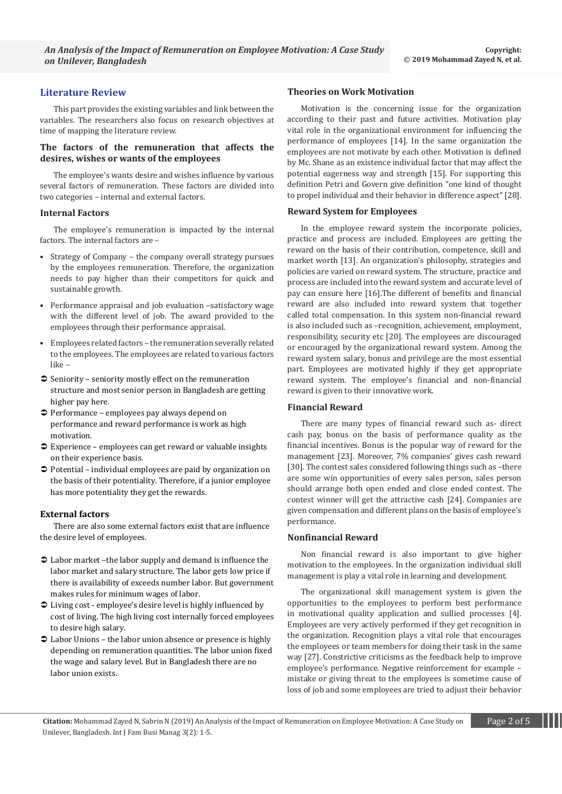## **Literature Review**

This part provides the existing variables and link between the variables. The researchers also focus on research objectives at time of mapping the literature review.

### **The factors of the remuneration that affects the desires, wishes or wants of the employees**

The employee's wants desire and wishes influence by various several factors of remuneration. These factors are divided into two categories – internal and external factors.

#### **Internal Factors**

The employee's remuneration is impacted by the internal factors. The internal factors are –

- Strategy of Company the company overall strategy pursues by the employees remuneration. Therefore, the organization needs to pay higher than their competitors for quick and sustainable growth.
- Performance appraisal and job evaluation -satisfactory wage with the different level of job. The award provided to the employees through their performance appraisal.
- Employees related factors the remuneration severally related to the employees. The employees are related to various factors like –
- $\supset$  Seniority seniority mostly effect on the remuneration structure and most senior person in Bangladesh are getting higher pay here.
- Performance employees pay always depend on performance and reward performance is work as high motivation.
- Experience employees can get reward or valuable insights on their experience basis.
- Potential individual employees are paid by organization on the basis of their potentiality. Therefore, if a junior employee has more potentiality they get the rewards.

#### **External factors**

There are also some external factors exist that are influence the desire level of employees.

- Labor market –the labor supply and demand is influence the labor market and salary structure. The labor gets low price if there is availability of exceeds number labor. But government makes rules for minimum wages of labor.
- Living cost employee's desire level is highly influenced by cost of living. The high living cost internally forced employees to desire high salary.
- Labor Unions the labor union absence or presence is highly depending on remuneration quantities. The labor union fixed the wage and salary level. But in Bangladesh there are no labor union exists.

#### **Theories on Work Motivation**

Motivation is the concerning issue for the organization according to their past and future activities. Motivation play vital role in the organizational environment for influencing the performance of employees [14]. In the same organization the employees are not motivate by each other. Motivation is defined by Mc. Shane as an existence individual factor that may affect the potential eagerness way and strength [15]. For supporting this definition Petri and Govern give definition "one kind of thought to propel individual and their behavior in difference aspect" [28].

#### **Reward System for Employees**

In the employee reward system the incorporate policies, practice and process are included. Employees are getting the reward on the basis of their contribution, competence, skill and market worth [13]. An organization's philosophy, strategies and policies are varied on reward system. The structure, practice and process are included into the reward system and accurate level of pay can ensure here [16].The different of benefits and financial reward are also included into reward system that together called total compensation. In this system non-financial reward is also included such as –recognition, achievement, employment, responsibility, security etc [20]. The employees are discouraged or encouraged by the organizational reward system. Among the reward system salary, bonus and privilege are the most essential part. Employees are motivated highly if they get appropriate reward system. The employee's financial and non-financial reward is given to their innovative work.

#### **Financial Reward**

There are many types of financial reward such as- direct cash pay, bonus on the basis of performance quality as the financial incentives. Bonus is the popular way of reward for the management [23]. Moreover, 7% companies' gives cash reward [30]. The contest sales considered following things such as –there are some win opportunities of every sales person, sales person should arrange both open ended and close ended contest. The contest winner will get the attractive cash [24]. Companies are given compensation and different plans on the basis of employee's performance.

#### **Nonfinancial Reward**

Non financial reward is also important to give higher motivation to the employees. In the organization individual skill management is play a vital role in learning and development.

The organizational skill management system is given the opportunities to the employees to perform best performance in motivational quality application and sullied processes [4]. Employees are very actively performed if they get recognition in the organization. Recognition plays a vital role that encourages the employees or team members for doing their task in the same way [27]. Constrictive criticisms as the feedback help to improve employee's performance. Negative reinforcement for example – mistake or giving threat to the employees is sometime cause of loss of job and some employees are tried to adjust their behavior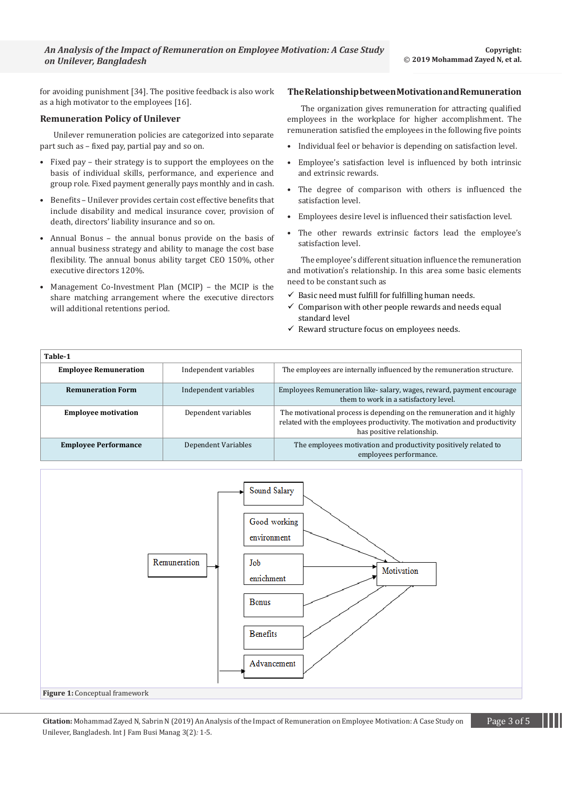for avoiding punishment [34]. The positive feedback is also work as a high motivator to the employees [16].

## **Remuneration Policy of Unilever**

Unilever remuneration policies are categorized into separate part such as – fixed pay, partial pay and so on.

- Fixed pay their strategy is to support the employees on the basis of individual skills, performance, and experience and group role. Fixed payment generally pays monthly and in cash.
- Benefits Unilever provides certain cost effective benefits that include disability and medical insurance cover, provision of death, directors' liability insurance and so on.
- Annual Bonus the annual bonus provide on the basis of annual business strategy and ability to manage the cost base flexibility. The annual bonus ability target CEO 150%, other executive directors 120%.
- Management Co-Investment Plan (MCIP) the MCIP is the share matching arrangement where the executive directors will additional retentions period.

#### **The Relationship between Motivation and Remuneration**

The organization gives remuneration for attracting qualified employees in the workplace for higher accomplishment. The remuneration satisfied the employees in the following five points

- Individual feel or behavior is depending on satisfaction level.
- Employee's satisfaction level is influenced by both intrinsic and extrinsic rewards.
- The degree of comparison with others is influenced the satisfaction level.
- Employees desire level is influenced their satisfaction level.
- The other rewards extrinsic factors lead the employee's satisfaction level.

The employee's different situation influence the remuneration and motivation's relationship. In this area some basic elements need to be constant such as

- $\checkmark$  Basic need must fulfill for fulfilling human needs.
- $\checkmark$  Comparison with other people rewards and needs equal standard level
- $\checkmark$  Reward structure focus on employees needs.

| Table-1                      |                       |                                                                                                                                                                                   |
|------------------------------|-----------------------|-----------------------------------------------------------------------------------------------------------------------------------------------------------------------------------|
| <b>Employee Remuneration</b> | Independent variables | The employees are internally influenced by the remuneration structure.                                                                                                            |
| <b>Remuneration Form</b>     | Independent variables | Employees Remuneration like-salary, wages, reward, payment encourage<br>them to work in a satisfactory level.                                                                     |
| <b>Employee motivation</b>   | Dependent variables   | The motivational process is depending on the remuneration and it highly<br>related with the employees productivity. The motivation and productivity<br>has positive relationship. |
| <b>Employee Performance</b>  | Dependent Variables   | The employees motivation and productivity positively related to<br>employees performance.                                                                                         |



Citation: Mohammad Zayed N, Sabrin N (2019) An Analysis of the Impact of Remuneration on Employee Motivation: A Case Study on Page 3 of 5 Unilever, Bangladesh. Int J Fam Busi Manag 3(2)*:* 1*-*5.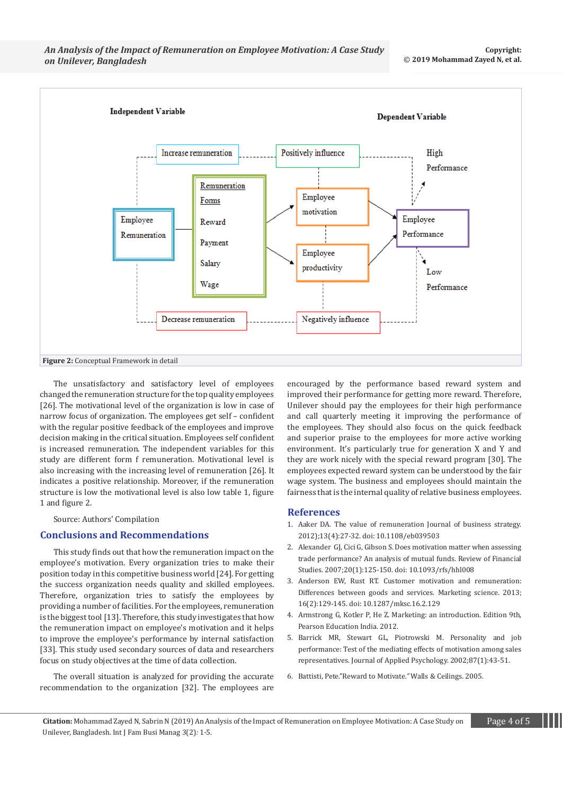

The unsatisfactory and satisfactory level of employees changed the remuneration structure for the top quality employees [26]. The motivational level of the organization is low in case of narrow focus of organization. The employees get self – confident with the regular positive feedback of the employees and improve decision making in the critical situation. Employees self confident is increased remuneration. The independent variables for this study are different form f remuneration. Motivational level is also increasing with the increasing level of remuneration [26]. It indicates a positive relationship. Moreover, if the remuneration structure is low the motivational level is also low table 1, figure 1 and figure 2.

Source: Authors' Compilation

## **Conclusions and Recommendations**

This study finds out that how the remuneration impact on the employee's motivation. Every organization tries to make their position today in this competitive business world [24]. For getting the success organization needs quality and skilled employees. Therefore, organization tries to satisfy the employees by providing a number of facilities. For the employees, remuneration is the biggest tool [13]. Therefore, this study investigates that how the remuneration impact on employee's motivation and it helps to improve the employee's performance by internal satisfaction [33]. This study used secondary sources of data and researchers focus on study objectives at the time of data collection.

The overall situation is analyzed for providing the accurate recommendation to the organization [32]. The employees are

encouraged by the performance based reward system and improved their performance for getting more reward. Therefore, Unilever should pay the employees for their high performance and call quarterly meeting it improving the performance of the employees. They should also focus on the quick feedback and superior praise to the employees for more active working environment. It's particularly true for generation X and Y and they are work nicely with the special reward program [30]. The employees expected reward system can be understood by the fair wage system. The business and employees should maintain the fairness that is the internal quality of relative business employees.

#### **References**

- 1. [Aaker DA. The value of remuneration Journal of business strategy.](https://www.emeraldinsight.com/doi/abs/10.1108/eb039503)  [2012\);13\(4\):27-32. doi: 10.1108/eb039503](https://www.emeraldinsight.com/doi/abs/10.1108/eb039503)
- 2. [Alexander GJ, Cici G, Gibson S. Does motivation matter when assessing](https://academic.oup.com/rfs/article-abstract/20/1/125/1588222)  [trade performance? An analysis of mutual funds. Review of Financial](https://academic.oup.com/rfs/article-abstract/20/1/125/1588222)  [Studies. 2007;20\(1\):125-150. doi: 10.1093/rfs/hhl008](https://academic.oup.com/rfs/article-abstract/20/1/125/1588222)
- 3. [Anderson EW, Rust RT. Customer motivation and remuneration:](https://pubsonline.informs.org/doi/abs/10.1287/mksc.16.2.129)  [Differences between goods and services. Marketing science. 2013;](https://pubsonline.informs.org/doi/abs/10.1287/mksc.16.2.129)  [16\(2\):129-145. doi: 10.1287/mksc.16.2.129](https://pubsonline.informs.org/doi/abs/10.1287/mksc.16.2.129)
- 4. [Armstrong G, Kotler P, He Z. Marketing: an introduction. Edition 9th,](https://www.amazon.com/Marketing-Introduction-12th-Gary-Armstrong/dp/0133451275)  [Pearson Education India. 2012.](https://www.amazon.com/Marketing-Introduction-12th-Gary-Armstrong/dp/0133451275)
- 5. [Barrick MR, Stewart GL, Piotrowski M. Personality and job](https://www.ncbi.nlm.nih.gov/pubmed/11916215)  [performance: Test of the mediating effects of motivation among sales](https://www.ncbi.nlm.nih.gov/pubmed/11916215)  [representatives. Journal of Applied Psychology. 2002;87\(1\):43-51.](https://www.ncbi.nlm.nih.gov/pubmed/11916215)
- 6. [Battisti, Pete."Reward to Motivate](https://www.wconline.com/articles/84721-all-in-agreement-br-reward-to-motivate)*."* Walls & Ceilings*.* 2005.